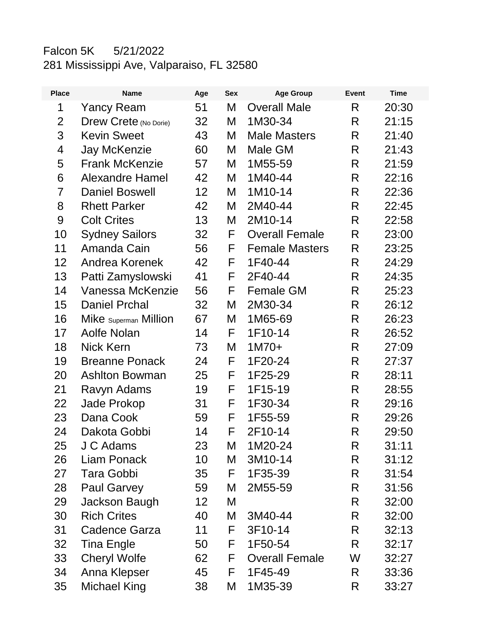## Falcon 5K 5/21/2022 281 Mississippi Ave, Valparaiso, FL 32580

| <b>Place</b>   | <b>Name</b>                  | Age | <b>Sex</b> | <b>Age Group</b>      | <b>Event</b> | <b>Time</b> |
|----------------|------------------------------|-----|------------|-----------------------|--------------|-------------|
| 1              | <b>Yancy Ream</b>            | 51  | M          | <b>Overall Male</b>   | R            | 20:30       |
| $\overline{2}$ | <b>Drew Crete (No Dorie)</b> | 32  | M          | 1M30-34               | R            | 21:15       |
| 3              | <b>Kevin Sweet</b>           | 43  | Μ          | <b>Male Masters</b>   | R            | 21:40       |
| 4              | <b>Jay McKenzie</b>          | 60  | Μ          | Male GM               | R            | 21:43       |
| 5              | <b>Frank McKenzie</b>        | 57  | Μ          | 1M55-59               | R            | 21:59       |
| 6              | <b>Alexandre Hamel</b>       | 42  | M          | 1M40-44               | R            | 22:16       |
| $\overline{7}$ | <b>Daniel Boswell</b>        | 12  | Μ          | 1M10-14               | R            | 22:36       |
| 8              | <b>Rhett Parker</b>          | 42  | M          | 2M40-44               | R            | 22:45       |
| 9              | <b>Colt Crites</b>           | 13  | M          | 2M10-14               | R            | 22:58       |
| 10             | <b>Sydney Sailors</b>        | 32  | F          | <b>Overall Female</b> | R            | 23:00       |
| 11             | Amanda Cain                  | 56  | F          | <b>Female Masters</b> | R            | 23:25       |
| 12             | Andrea Korenek               | 42  | F          | 1F40-44               | R            | 24:29       |
| 13             | Patti Zamyslowski            | 41  | F          | 2F40-44               | R            | 24:35       |
| 14             | Vanessa McKenzie             | 56  | F          | <b>Female GM</b>      | R            | 25:23       |
| 15             | <b>Daniel Prchal</b>         | 32  | M          | 2M30-34               | R            | 26:12       |
| 16             | Mike Superman Million        | 67  | Μ          | 1M65-69               | R            | 26:23       |
| 17             | Aolfe Nolan                  | 14  | F          | 1F10-14               | R            | 26:52       |
| 18             | <b>Nick Kern</b>             | 73  | M          | $1M70+$               | R            | 27:09       |
| 19             | <b>Breanne Ponack</b>        | 24  | F          | 1F20-24               | R            | 27:37       |
| 20             | <b>Ashlton Bowman</b>        | 25  | F          | 1F25-29               | R            | 28:11       |
| 21             | Ravyn Adams                  | 19  | F          | 1F15-19               | R            | 28:55       |
| 22             | Jade Prokop                  | 31  | F          | 1F30-34               | R            | 29:16       |
| 23             | Dana Cook                    | 59  | F          | 1F55-59               | R            | 29:26       |
| 24             | Dakota Gobbi                 | 14  | F          | 2F10-14               | R            | 29:50       |
| 25             | J C Adams                    | 23  | Μ          | 1M20-24               | R            | 31:11       |
| 26             | Liam Ponack                  | 10  | M          | 3M10-14               | R            | 31:12       |
| 27             | <b>Tara Gobbi</b>            | 35  | F          | 1F35-39               | R.           | 31:54       |
| 28             | <b>Paul Garvey</b>           | 59  | M          | 2M55-59               | R            | 31:56       |
| 29             | Jackson Baugh                | 12  | M          |                       | R.           | 32:00       |
| 30             | <b>Rich Crites</b>           | 40  | Μ          | 3M40-44               | R            | 32:00       |
| 31             | <b>Cadence Garza</b>         | 11  | F          | 3F10-14               | R            | 32:13       |
| 32             | <b>Tina Engle</b>            | 50  | F          | 1F50-54               | R.           | 32:17       |
| 33             | <b>Cheryl Wolfe</b>          | 62  | F          | <b>Overall Female</b> | W            | 32:27       |
| 34             | Anna Klepser                 | 45  | F          | 1F45-49               | R.           | 33:36       |
| 35             | <b>Michael King</b>          | 38  | M          | 1M35-39               | R            | 33:27       |